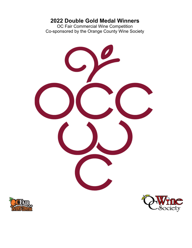# **2022 Double Gold Medal Winners**

OC Fair Commercial Wine Competition Co-sponsored by the Orange County Wine Society





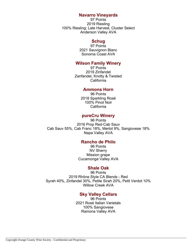### **Navarro Vineyards**

97 Points 2019 Riesling 100% Riesling; Late Harvest, Cluster Select Anderson Valley AVA

# **Schug**

97 Points 2021 Sauvignon Blanc Sonoma Coast AVA

### **Wilson Family Winery**

97 Points 2019 Zinfandel Zanfandel, Knotty & Twisted California

#### **Ammons Horn**

96 Points 2018 Sparkling Rosé 100% Pinot Noir California

### **pureCru Winery**

96 Points 2016 Prop Red-Cab Sauv Cab Sauv 55%, Cab Franc 18%, Merlot 9%, Sangiovese 18% Napa Valley AVA

### **Rancho de Philo**

96 Points NV Sherry Mission grape Cucamonga Valley AVA

#### **Shale Oak**

96 Points 2019 Rhône Style CA Blends - Red Syrah 40%, Zinfandel 30%, Petite Sirah 20%, Petit Verdot 10% Willow Creek AVA

# **Sky Valley Cellars**

96 Points 2021 Rosé Italian Varietals 100% Sangiovese Ramona Valley AVA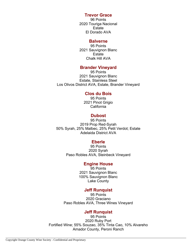### **Trevor Grace**

96 Points 2020 Touriga Nacional **Estate** El Dorado AVA

#### **Balverne**

95 Points 2021 Sauvignon Blanc **Estate** Chalk Hill AVA

# **Brander Vineyard**

95 Points 2021 Sauvignon Blanc Estate, Stainless Steel Los Olivos District AVA, Estate, Brander Vineyard

#### **Clos du Bois**

95 Points 2021 Pinot Grigio California

### **Dubost**

95 Points 2019 Prop Red-Syrah 50% Syrah, 25% Malbec, 25% Petit Verdot; Estate Adelaida District AVA

#### **Eberle**

95 Points 2020 Syrah Paso Robles AVA, Steinbeck Vineyard

#### **Engine House**

95 Points 2021 Sauvignon Blanc 100% Sauvignon Blanc Lake County

#### **Jeff Runquist**

95 Points 2020 Graciano Paso Robles AVA, Three Wines Vineyard

### **Jeff Runquist**

95 Points 2020 Ruby Port Fortified Wine; 55% Souzao, 35% Tinta Cao, 10% Alvareho Amador County, Peroni Ranch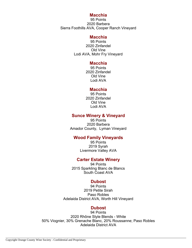#### **Macchia**

95 Points 2020 Barbera Sierra Foothills AVA, Cooper Ranch Vineyard

#### **Macchia**

95 Points 2020 Zinfandel Old Vine Lodi AVA, Mohr Fry Vineyard

#### **Macchia**

95 Points 2020 Zinfandel Old Vine Lodi AVA

#### **Macchia**

95 Points 2020 Zinfandel Old Vine Lodi AVA

### **Sunce Winery & Vineyard**

95 Points 2020 Barbera Amador County, Lyman Vineyard

### **Wood Family Vineyards**

95 Points 2019 Syrah Livermore Valley AVA

#### **Carter Estate Winery**

94 Points 2015 Sparkling Blanc de Blancs South Coast AVA

#### **Dubost**

94 Points 2019 Petite Sirah Paso Robles Adelaida District AVA, Worth Hill Vineyard

#### **Dubost**

94 Points 2020 Rhône Style Blends - White 50% Viognier, 30% Grenache Blanc, 20% Roussanne; Paso Robles Adelaida District AVA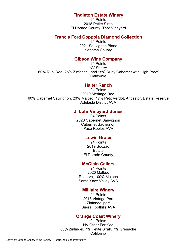# **Findleton Estate Winery**

94 Points 2018 Petite Sirah El Dorado County, Thor Vineyard

### **Francis Ford Coppola Diamond Collection**

94 Points 2021 Sauvignon Blanc Sonoma County

### **Gibson Wine Company**

94 Points NV Sherry 60% Rubi Red, 25% Zinfandel, and 15% Ruby Cabernet with High Proof California

### **Halter Ranch**

94 Points 2019 Meritage Red 60% Cabernet Sauvignon, 23% Malbec, 17% Petit Verdot, Ancestor, Estate Reserve Adelaida District AVA

# **J. Lohr Vineyard Series**

94 Points 2020 Cabernet Sauvignon Cabernet Sauvignon Paso Robles AVA

### **Lewis Grace**

94 Points 2019 Souzão **Estate** El Dorado County

# **McClain Cellars**

94 Points 2020 Malbec Reserve, 100% Malbec Santa Ynez Valley AVA

# **Milliaire Winery**

94 Points 2018 Vintage Port Zinfandel port Sierra Foothills AVA

#### **Orange Coast Winery**

94 Points NV Other Fortified 86% Zinfindel, 7% Petite Sirah, 7% Grenache California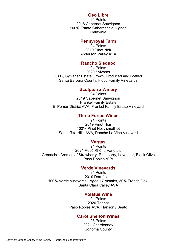#### **Oso Libre**

94 Points 2018 Cabernet Sauvignon 100% Estate Cabernet Sauvignon California

#### **Pennyroyal Farm**

94 Points 2019 Pinot Noir Anderson Valley AVA

#### **Rancho Sisquoc**

94 Points 2020 Sylvaner 100% Sylvaner Estate Grown, Produced and Bottled Santa Barbara County, Flood Family Vineyards

#### **Sculpterra Winery**

94 Points 2019 Cabernet Sauvignon Frankel Family Estate El Pomar District AVA, Frankel Family Estate Vineyard

# **Three Furies Wines**

94 Points 2019 Pinot Noir 100% Pinot Noir, small lot Santa Rita Hills AVA, Rancho La Vina Vineyard

#### **Vargas**

94 Points 2021 Rosé Rhône Varietals Grenache, Aromas of Strawberry, Raspberry, Lavender, Black Olive Paso Robles AVA

#### **Verde Vineyards**

94 Points 2019 Dornfelder 100% Verde Vineyards. Aged 17 months, 30% French Oak. Santa Clara Valley AVA

#### **Volatus Wine**

94 Points 2020 Tannat Paso Robles AVA, Hanson / Beato

#### **Carol Shelton Wines**

93 Points 2021 Chardonnay Sonoma County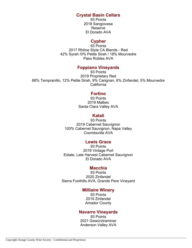# **Crystal Basin Cellars**

93 Points 2018 Sangiovese Reserve El Dorado AVA

# **Cypher**

93 Points 2017 Rhône Style CA Blends - Red 42% Syrah /0% Petite Sirah / 18% Mourvedre Paso Robles AVA

# **Foppiano Vineyards**

93 Points 2019 Proprietary Red 68% Tempranillo, 12% Petite Sirah, 9% Carignan, 6% Zinfandel, 5% Mourvedre California

### **Fortino**

93 Points 2019 Malbec Santa Clara Valley AVA

#### **Katali**

93 Points 2019 Cabernet Sauvignon 100% Cabernet Sauvignon, Napa Valley Coombsville AVA

#### **Lewis Grace**

93 Points 2019 Vintage Port Estate, Late Harvest Cabernet Sauvignon El Dorado AVA

#### **Macchia**

93 Points 2020 Zinfandel Sierra Foothills AVA, Grande Pere Vineyard

#### **Milliaire Winery**

93 Points 2019 Zinfandel Amador County

#### **Navarro Vineyards**

93 Points 2021 Gewürztraminer Anderson Valley AVA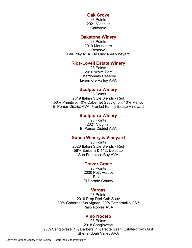#### **Oak Grove**

93 Points 2021 Viognier California

### **Oakstone Winery**

93 Points 2019 Mourvedre Reserve Fair Play AVA, De Cascabel Vineyard

#### **Rios-Lovell Estate Winery**

93 Points 2016 White Port Chardonnay Reserve Livermore Valley AVA

#### **Sculpterra Winery**

93 Points 2019 Italian Style Blends - Red 50% Primitivo, 40% Cabernet Sauvignon, 10% Merlot El Pomar District AVA, Frankel Family Estate Vineyard

#### **Sculpterra Winery**

93 Points 2021 Viognier El Pomar District AVA

#### **Sunce Winery & Vineyard**

93 Points 2020 Italian Style Blends - Red 56% Barbera & 44% Dolcetto San Francisco Bay AVA

#### **Trevor Grace**

93 Points 2020 Petit Verdot Estate El Dorado County

#### **Vargas**

93 Points 2019 Prop Red-Cab Sauv 80% Cabernet Sauvignon, 20% Tempranillo CS? Paso Robles AVA

#### **Vino Noceto**

93 Points 2018 Sangiovese 98% Sangiovese, 1% Barbera, 1% Petite Sirah; Estate-grown fruit Shenandoah Valley AVA